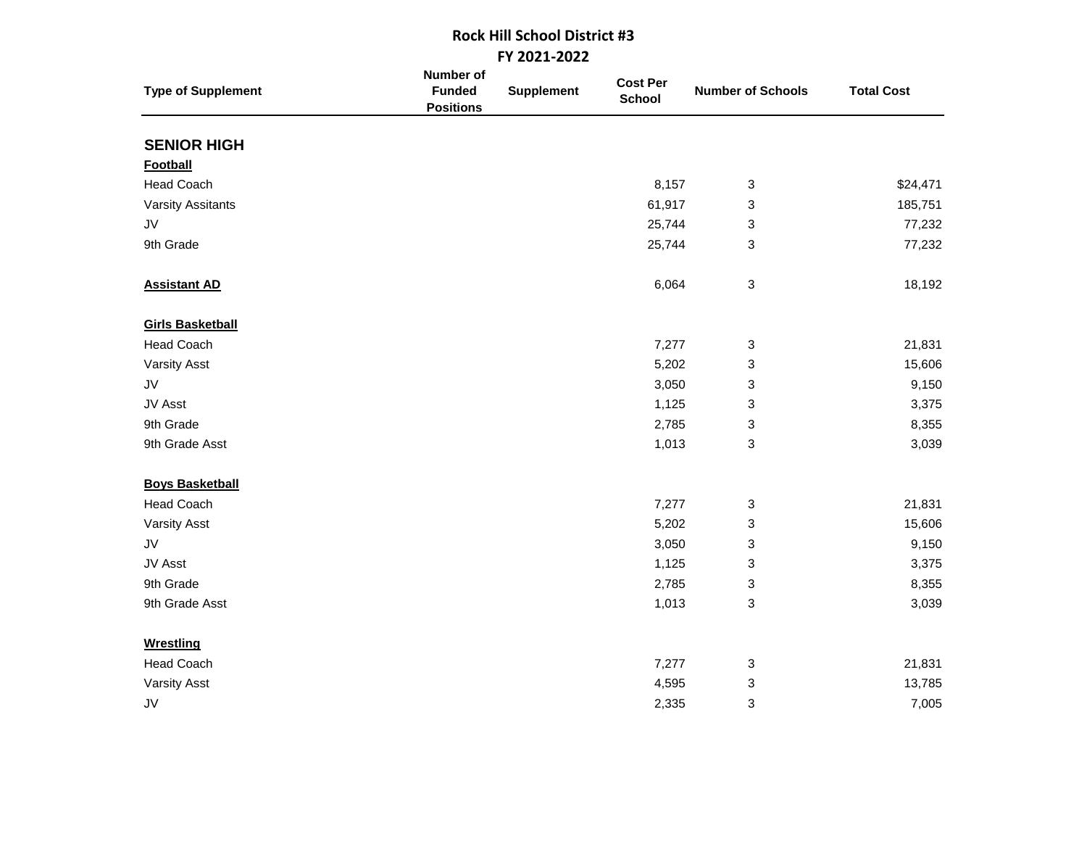## **Rock Hill School District #3 FY 2021-2022**

| <b>Type of Supplement</b> | Number of<br><b>Funded</b><br><b>Positions</b> | <b>Supplement</b> | <b>Cost Per</b><br><b>School</b> | <b>Number of Schools</b>  | <b>Total Cost</b> |
|---------------------------|------------------------------------------------|-------------------|----------------------------------|---------------------------|-------------------|
| <b>SENIOR HIGH</b>        |                                                |                   |                                  |                           |                   |
| Football                  |                                                |                   |                                  |                           |                   |
| <b>Head Coach</b>         |                                                |                   | 8,157                            | 3                         | \$24,471          |
| <b>Varsity Assitants</b>  |                                                |                   | 61,917                           | 3                         | 185,751           |
| JV                        |                                                |                   | 25,744                           | 3                         | 77,232            |
| 9th Grade                 |                                                |                   | 25,744                           | 3                         | 77,232            |
| <b>Assistant AD</b>       |                                                |                   | 6,064                            | $\ensuremath{\mathsf{3}}$ | 18,192            |
| <b>Girls Basketball</b>   |                                                |                   |                                  |                           |                   |
| <b>Head Coach</b>         |                                                |                   | 7,277                            | 3                         | 21,831            |
| <b>Varsity Asst</b>       |                                                |                   | 5,202                            | 3                         | 15,606            |
| JV                        |                                                |                   | 3,050                            | 3                         | 9,150             |
| JV Asst                   |                                                |                   | 1,125                            | 3                         | 3,375             |
| 9th Grade                 |                                                |                   | 2,785                            | 3                         | 8,355             |
| 9th Grade Asst            |                                                |                   | 1,013                            | 3                         | 3,039             |
| <b>Boys Basketball</b>    |                                                |                   |                                  |                           |                   |
| <b>Head Coach</b>         |                                                |                   | 7,277                            | 3                         | 21,831            |
| <b>Varsity Asst</b>       |                                                |                   | 5,202                            | 3                         | 15,606            |
| JV                        |                                                |                   | 3,050                            | 3                         | 9,150             |
| JV Asst                   |                                                |                   | 1,125                            | 3                         | 3,375             |
| 9th Grade                 |                                                |                   | 2,785                            | 3                         | 8,355             |
| 9th Grade Asst            |                                                |                   | 1,013                            | 3                         | 3,039             |
| <b>Wrestling</b>          |                                                |                   |                                  |                           |                   |
| <b>Head Coach</b>         |                                                |                   | 7,277                            | 3                         | 21,831            |
| <b>Varsity Asst</b>       |                                                |                   | 4,595                            | 3                         | 13,785            |
| JV                        |                                                |                   | 2,335                            | 3                         | 7,005             |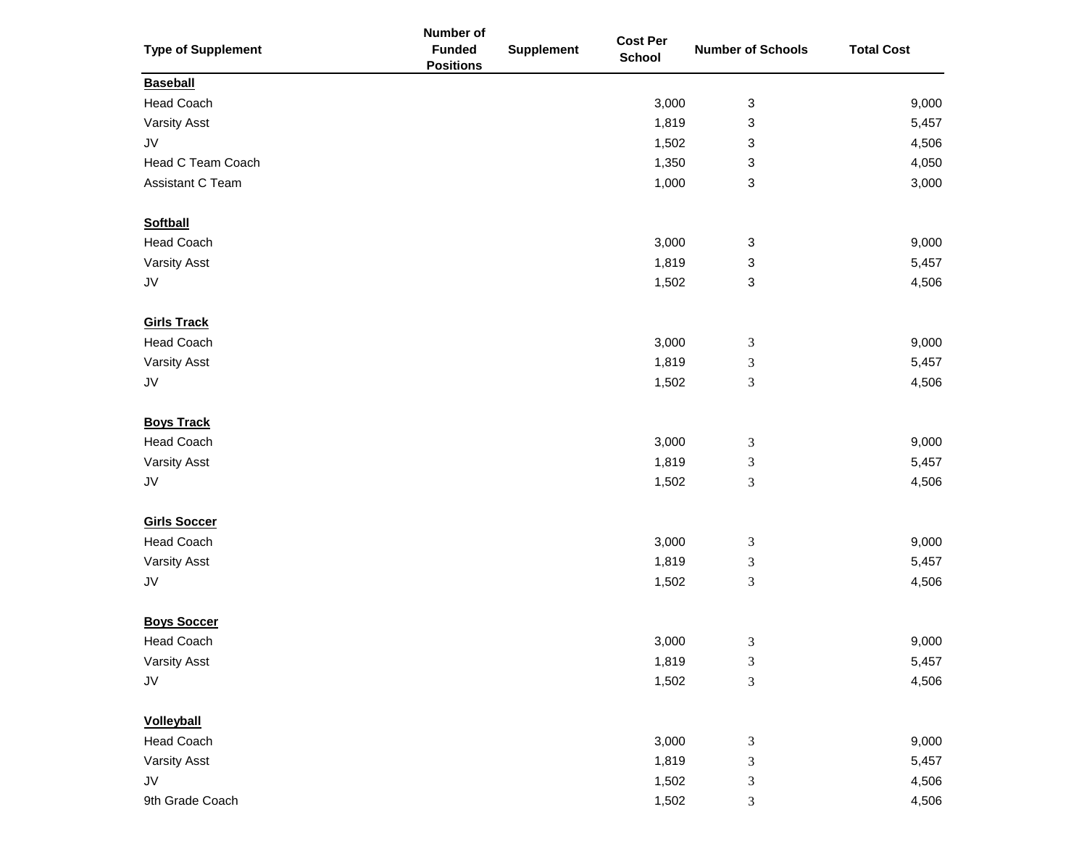|                           | Number of                         |                   | <b>Cost Per</b> |                          |                   |
|---------------------------|-----------------------------------|-------------------|-----------------|--------------------------|-------------------|
| <b>Type of Supplement</b> | <b>Funded</b><br><b>Positions</b> | <b>Supplement</b> | <b>School</b>   | <b>Number of Schools</b> | <b>Total Cost</b> |
| <b>Baseball</b>           |                                   |                   |                 |                          |                   |
| <b>Head Coach</b>         |                                   |                   | 3,000           | 3                        | 9,000             |
| <b>Varsity Asst</b>       |                                   |                   | 1,819           | 3                        | 5,457             |
| JV                        |                                   |                   | 1,502           | 3                        | 4,506             |
| Head C Team Coach         |                                   |                   | 1,350           | 3                        | 4,050             |
| Assistant C Team          |                                   |                   | 1,000           | 3                        | 3,000             |
| <b>Softball</b>           |                                   |                   |                 |                          |                   |
| <b>Head Coach</b>         |                                   |                   | 3,000           | 3                        | 9,000             |
| <b>Varsity Asst</b>       |                                   |                   | 1,819           | 3                        | 5,457             |
| ${\sf J}{\sf V}$          |                                   |                   | 1,502           | 3                        | 4,506             |
| <b>Girls Track</b>        |                                   |                   |                 |                          |                   |
| <b>Head Coach</b>         |                                   |                   | 3,000           | $\mathfrak{Z}$           | 9,000             |
| <b>Varsity Asst</b>       |                                   |                   | 1,819           | 3                        | 5,457             |
| ${\sf J}{\sf V}$          |                                   |                   | 1,502           | 3                        | 4,506             |
| <b>Boys Track</b>         |                                   |                   |                 |                          |                   |
| <b>Head Coach</b>         |                                   |                   | 3,000           | $\mathfrak{Z}$           | 9,000             |
| <b>Varsity Asst</b>       |                                   |                   | 1,819           | 3                        | 5,457             |
| ${\sf J}{\sf V}$          |                                   |                   | 1,502           | $\mathfrak{Z}$           | 4,506             |
| <b>Girls Soccer</b>       |                                   |                   |                 |                          |                   |
| <b>Head Coach</b>         |                                   |                   | 3,000           | $\mathfrak{Z}$           | 9,000             |
| <b>Varsity Asst</b>       |                                   |                   | 1,819           | 3                        | 5,457             |
| JV                        |                                   |                   | 1,502           | 3                        | 4,506             |
| <b>Boys Soccer</b>        |                                   |                   |                 |                          |                   |
| <b>Head Coach</b>         |                                   |                   | 3,000           | 3                        | 9,000             |
| <b>Varsity Asst</b>       |                                   |                   | 1,819           | 3                        | 5,457             |
| JV                        |                                   |                   | 1,502           | 3                        | 4,506             |
| <b>Volleyball</b>         |                                   |                   |                 |                          |                   |
| <b>Head Coach</b>         |                                   |                   | 3,000           | 3                        | 9,000             |
| <b>Varsity Asst</b>       |                                   |                   | 1,819           | 3                        | 5,457             |
| JV                        |                                   |                   | 1,502           | 3                        | 4,506             |
| 9th Grade Coach           |                                   |                   | 1,502           | 3                        | 4,506             |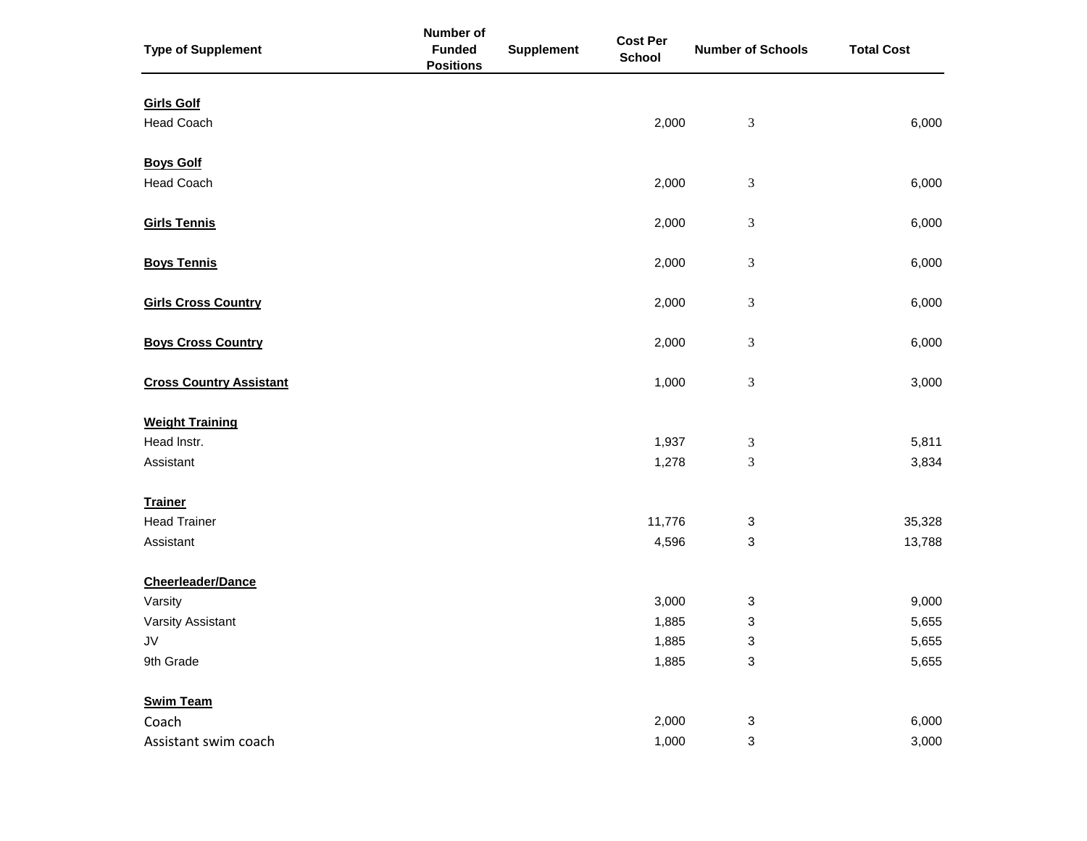| <b>Type of Supplement</b>              | Number of<br><b>Funded</b><br><b>Positions</b> | <b>Supplement</b> | <b>Cost Per</b><br><b>School</b> | <b>Number of Schools</b>    | <b>Total Cost</b> |
|----------------------------------------|------------------------------------------------|-------------------|----------------------------------|-----------------------------|-------------------|
| <b>Girls Golf</b><br><b>Head Coach</b> |                                                |                   | 2,000                            | $\ensuremath{\mathfrak{Z}}$ | 6,000             |
| <b>Boys Golf</b><br><b>Head Coach</b>  |                                                |                   | 2,000                            | $\ensuremath{\mathfrak{Z}}$ | 6,000             |
| <b>Girls Tennis</b>                    |                                                |                   | 2,000                            | 3                           | 6,000             |
| <b>Boys Tennis</b>                     |                                                |                   | 2,000                            | 3                           | 6,000             |
| <b>Girls Cross Country</b>             |                                                |                   | 2,000                            | 3                           | 6,000             |
| <b>Boys Cross Country</b>              |                                                |                   | 2,000                            | 3                           | 6,000             |
| <b>Cross Country Assistant</b>         |                                                |                   | 1,000                            | $\ensuremath{\mathfrak{Z}}$ | 3,000             |
| <b>Weight Training</b><br>Head Instr.  |                                                |                   |                                  |                             |                   |
| Assistant                              |                                                |                   | 1,937<br>1,278                   | 3<br>3                      | 5,811<br>3,834    |
| <b>Trainer</b>                         |                                                |                   |                                  |                             |                   |
| <b>Head Trainer</b><br>Assistant       |                                                |                   | 11,776<br>4,596                  | 3<br>3                      | 35,328<br>13,788  |
| <b>Cheerleader/Dance</b>               |                                                |                   |                                  |                             |                   |
| Varsity                                |                                                |                   | 3,000                            | 3                           | 9,000             |
| Varsity Assistant                      |                                                |                   | 1,885                            | 3                           | 5,655             |
| JV<br>9th Grade                        |                                                |                   | 1,885<br>1,885                   | 3<br>$\mathbf{3}$           | 5,655<br>5,655    |
| <b>Swim Team</b>                       |                                                |                   |                                  |                             |                   |
| Coach                                  |                                                |                   | 2,000                            | 3                           | 6,000             |
| Assistant swim coach                   |                                                |                   | 1,000                            | 3                           | 3,000             |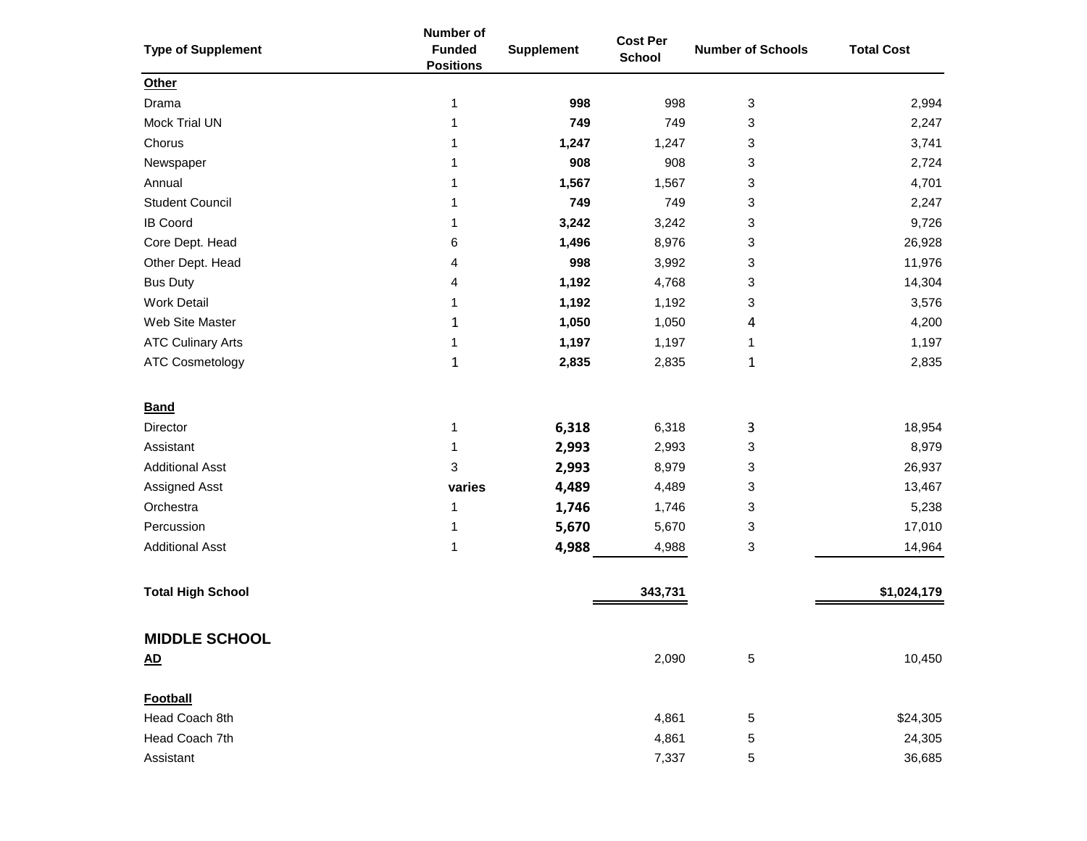| <b>Type of Supplement</b> | Number of<br><b>Funded</b><br><b>Positions</b> | <b>Supplement</b> | <b>Cost Per</b><br><b>School</b> | <b>Number of Schools</b> | <b>Total Cost</b> |
|---------------------------|------------------------------------------------|-------------------|----------------------------------|--------------------------|-------------------|
| Other                     |                                                |                   |                                  |                          |                   |
| Drama                     | 1                                              | 998               | 998                              | 3                        | 2,994             |
| Mock Trial UN             | 1                                              | 749               | 749                              | 3                        | 2,247             |
| Chorus                    | 1                                              | 1,247             | 1,247                            | 3                        | 3,741             |
| Newspaper                 | 1                                              | 908               | 908                              | 3                        | 2,724             |
| Annual                    | 1                                              | 1,567             | 1,567                            | 3                        | 4,701             |
| <b>Student Council</b>    | 1                                              | 749               | 749                              | 3                        | 2,247             |
| <b>IB Coord</b>           | 1                                              | 3,242             | 3,242                            | 3                        | 9,726             |
| Core Dept. Head           | 6                                              | 1,496             | 8,976                            | 3                        | 26,928            |
| Other Dept. Head          | 4                                              | 998               | 3,992                            | 3                        | 11,976            |
| <b>Bus Duty</b>           | 4                                              | 1,192             | 4,768                            | 3                        | 14,304            |
| <b>Work Detail</b>        | 1                                              | 1,192             | 1,192                            | 3                        | 3,576             |
| Web Site Master           | 1                                              | 1,050             | 1,050                            | 4                        | 4,200             |
| <b>ATC Culinary Arts</b>  | 1                                              | 1,197             | 1,197                            | 1                        | 1,197             |
| <b>ATC Cosmetology</b>    | $\mathbf{1}$                                   | 2,835             | 2,835                            | 1                        | 2,835             |
| <b>Band</b>               |                                                |                   |                                  |                          |                   |
| Director                  | 1                                              | 6,318             | 6,318                            | 3                        | 18,954            |
| Assistant                 | 1                                              | 2,993             | 2,993                            | 3                        | 8,979             |
| <b>Additional Asst</b>    | 3                                              | 2,993             | 8,979                            | 3                        | 26,937            |
| Assigned Asst             | varies                                         | 4,489             | 4,489                            | 3                        | 13,467            |
| Orchestra                 | 1                                              | 1,746             | 1,746                            | 3                        | 5,238             |
| Percussion                | 1                                              | 5,670             | 5,670                            | 3                        | 17,010            |
| <b>Additional Asst</b>    | 1                                              | 4,988             | 4,988                            | 3                        | 14,964            |
| <b>Total High School</b>  |                                                |                   | 343,731                          |                          | \$1,024,179       |
| <b>MIDDLE SCHOOL</b>      |                                                |                   |                                  |                          |                   |
| <u>AD</u>                 |                                                |                   | 2,090                            | 5                        | 10,450            |
| <b>Football</b>           |                                                |                   |                                  |                          |                   |
| Head Coach 8th            |                                                |                   | 4,861                            | 5                        | \$24,305          |
| Head Coach 7th            |                                                |                   | 4,861                            | 5                        | 24,305            |
| Assistant                 |                                                |                   | 7,337                            | 5                        | 36,685            |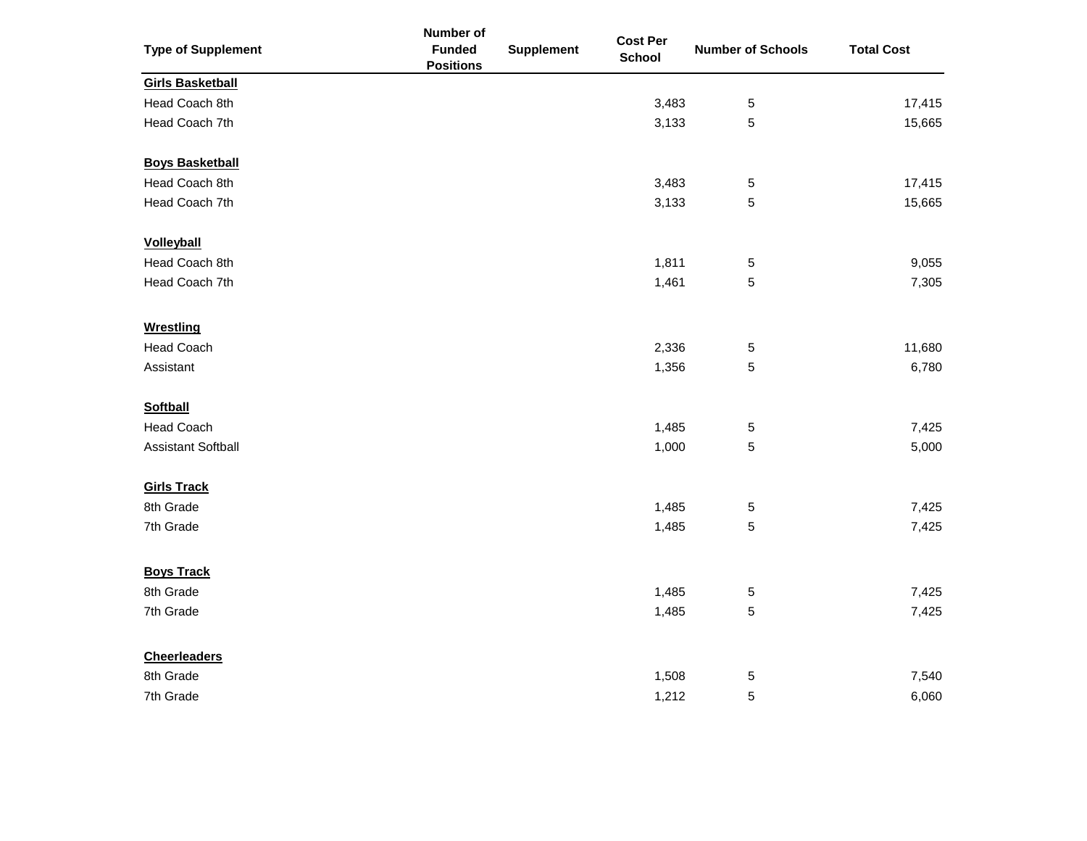| <b>Type of Supplement</b> | Number of<br><b>Funded</b> | <b>Supplement</b> | <b>Cost Per</b> | <b>Number of Schools</b> | <b>Total Cost</b> |
|---------------------------|----------------------------|-------------------|-----------------|--------------------------|-------------------|
|                           | <b>Positions</b>           |                   | <b>School</b>   |                          |                   |
| <b>Girls Basketball</b>   |                            |                   |                 |                          |                   |
| Head Coach 8th            |                            |                   | 3,483           | 5                        | 17,415            |
| Head Coach 7th            |                            |                   | 3,133           | 5                        | 15,665            |
| <b>Boys Basketball</b>    |                            |                   |                 |                          |                   |
| Head Coach 8th            |                            |                   | 3,483           | $\mathbf 5$              | 17,415            |
| Head Coach 7th            |                            |                   | 3,133           | 5                        | 15,665            |
| <b>Volleyball</b>         |                            |                   |                 |                          |                   |
| Head Coach 8th            |                            |                   | 1,811           | 5                        | 9,055             |
| Head Coach 7th            |                            |                   | 1,461           | 5                        | 7,305             |
| <b>Wrestling</b>          |                            |                   |                 |                          |                   |
| <b>Head Coach</b>         |                            |                   | 2,336           | 5                        | 11,680            |
| Assistant                 |                            |                   | 1,356           | 5                        | 6,780             |
| <b>Softball</b>           |                            |                   |                 |                          |                   |
| <b>Head Coach</b>         |                            |                   | 1,485           | 5                        | 7,425             |
| <b>Assistant Softball</b> |                            |                   | 1,000           | 5                        | 5,000             |
| <b>Girls Track</b>        |                            |                   |                 |                          |                   |
| 8th Grade                 |                            |                   | 1,485           | 5                        | 7,425             |
| 7th Grade                 |                            |                   | 1,485           | 5                        | 7,425             |
| <b>Boys Track</b>         |                            |                   |                 |                          |                   |
| 8th Grade                 |                            |                   | 1,485           | 5                        | 7,425             |
| 7th Grade                 |                            |                   | 1,485           | 5                        | 7,425             |
| <b>Cheerleaders</b>       |                            |                   |                 |                          |                   |
| 8th Grade                 |                            |                   | 1,508           | 5                        | 7,540             |
| 7th Grade                 |                            |                   | 1,212           | 5                        | 6,060             |